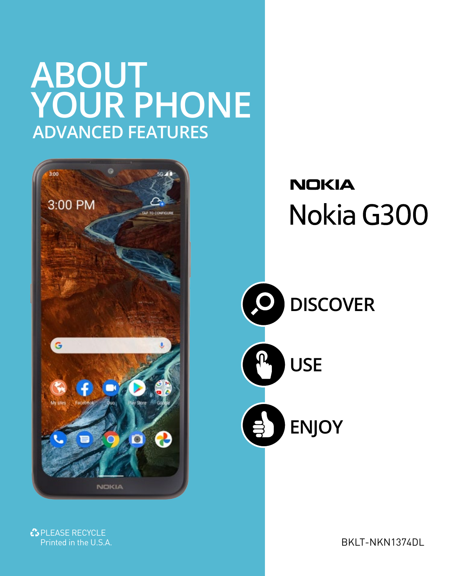## **ABOUT YOUR PHONE ADVANCED FEATURES**



**NOKIA** Nokia G300



PLEASE RECYCLE<br>Printed in the U.S.A.

RKIT-NKN1374DL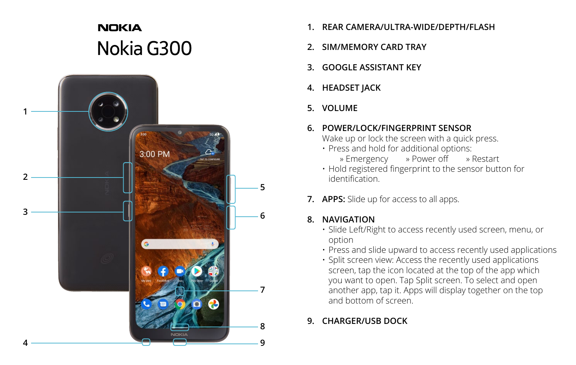## **NOKIA** Nokia G300



- **1. REAR CAMERA/ULTRA-WIDE/DEPTH/FLASH**
- **2. SIM/MEMORY CARD TRAY**
- **3. GOOGLE ASSISTANT KEY**
- **4. HEADSET JACK**
- **5. VOLUME**

#### **6. POWER/LOCK/FINGERPRINT SENSOR**

Wake up or lock the screen with a quick press.

• Press and hold for additional options: » Emergency » Power off » Restart

• Hold registered fingerprint to the sensor button for identification.

**7. APPS:** Slide up for access to all apps.

### **8. NAVIGATION**

- Slide Left/Right to access recently used screen, menu, or option
- Press and slide upward to access recently used applications
- Split screen view: Access the recently used applications screen, tap the icon located at the top of the app which you want to open. Tap Split screen. To select and open another app, tap it. Apps will display together on the top and bottom of screen.

### **9. CHARGER/USB DOCK**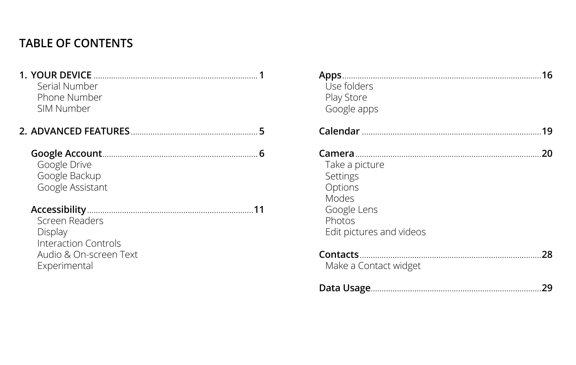## **TABLE OF CONTENTS**

| <b>1. YOUR DEVICE</b><br>Serial Number<br>Phone Number<br>SIM Number                        |  |
|---------------------------------------------------------------------------------------------|--|
|                                                                                             |  |
| Google Drive<br>Google Backup<br>Google Assistant                                           |  |
| Screen Readers<br>Display<br>Interaction Controls<br>Audio & On-screen Text<br>Experimental |  |

| Apps<br>Use folders<br>Play Store<br>Google apps                                                    | 16 |
|-----------------------------------------------------------------------------------------------------|----|
|                                                                                                     | 19 |
| Take a picture<br>Settings<br>Options<br>Modes<br>Google Lens<br>Photos<br>Edit pictures and videos | 20 |
| Make a Contact widget                                                                               | 28 |
|                                                                                                     | 29 |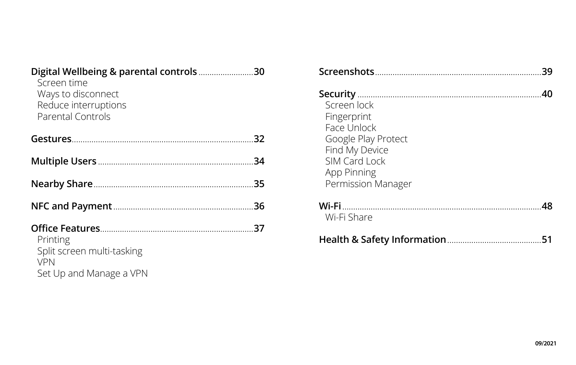| Digital Wellbeing & parental controls 30<br>Screen time<br>Ways to disconnect<br>Reduce interruptions<br>Parental Controls |     |
|----------------------------------------------------------------------------------------------------------------------------|-----|
|                                                                                                                            |     |
|                                                                                                                            | -34 |
|                                                                                                                            | .35 |
|                                                                                                                            |     |
| Printing<br>Split screen multi-tasking<br><b>VPN</b><br>Set Up and Manage a VPN                                            |     |

|                                                                                                                                          | 30 |
|------------------------------------------------------------------------------------------------------------------------------------------|----|
| Screen lock<br>Fingerprint<br>Face Unlock<br>Google Play Protect<br>Find My Device<br>SIM Card Lock<br>App Pinning<br>Permission Manager |    |
| Wi-Fi Share                                                                                                                              |    |
|                                                                                                                                          |    |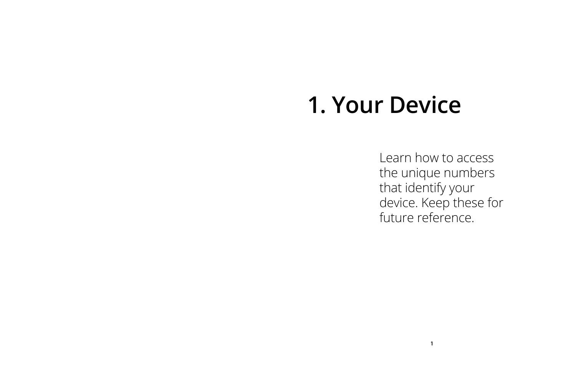# **1. Your Device**

Learn how to access the unique numbers that identify your device. Keep these for future reference.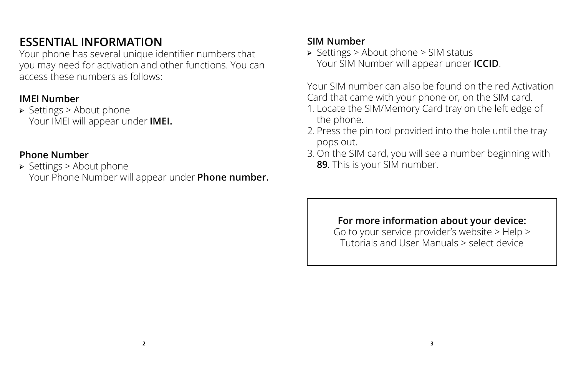## **ESSENTIAL INFORMATION**

Your phone has several unique identifier numbers that you may need for activation and other functions. You can access these numbers as follows:

### **IMEI Number**

← Settings > About phone Your IMEI will appear under **IMEI.**

### **Phone Number**

← Settings > About phone Your Phone Number will appear under **Phone number.**

### **SIM Number**

← Settings > About phone > SIM status Your SIM Number will appear under **ICCID**.

Your SIM number can also be found on the red Activation Card that came with your phone or, on the SIM card.

- 1. Locate the SIM/Memory Card tray on the left edge of the phone.
- 2. Press the pin tool provided into the hole until the tray pops out.
- 3. On the SIM card, you will see a number beginning with **89**. This is your SIM number.

### **For more information about your device:**

Go to your service provider's website > Help > Tutorials and User Manuals > select device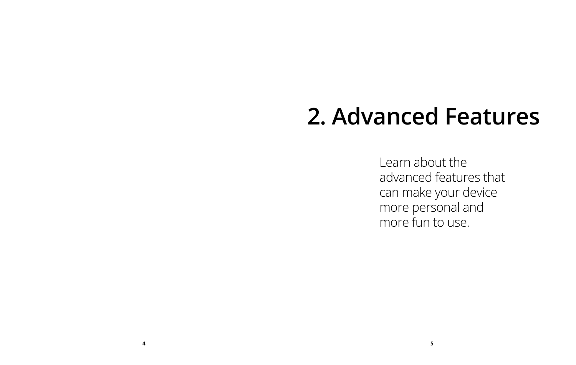# **2. Advanced Features**

Learn about the advanced features that can make your device more personal and more fun to use.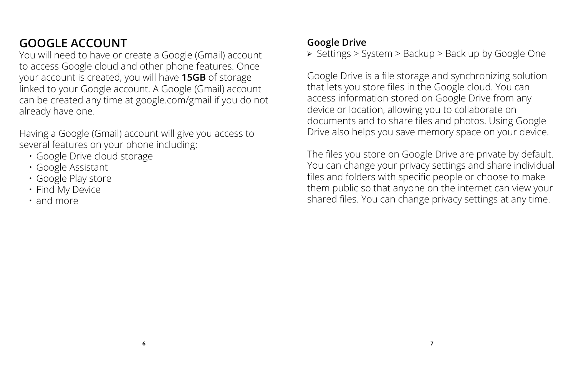## **GOOGLE ACCOUNT**

You will need to have or create a Google (Gmail) account to access Google cloud and other phone features. Once your account is created, you will have **15GB** of storage linked to your Google account. A Google (Gmail) account can be created any time at google.com/gmail if you do not already have one.

Having a Google (Gmail) account will give you access to several features on your phone including:

- Google Drive cloud storage
- Google Assistant
- Google Play store
- Find My Device
- and more

### **Google Drive**

← Settings > System > Backup > Back up by Google One

Google Drive is a file storage and synchronizing solution that lets you store files in the Google cloud. You can access information stored on Google Drive from any device or location, allowing you to collaborate on documents and to share files and photos. Using Google Drive also helps you save memory space on your device.

The files you store on Google Drive are private by default. You can change your privacy settings and share individual files and folders with specific people or choose to make them public so that anyone on the internet can view your shared files. You can change privacy settings at any time.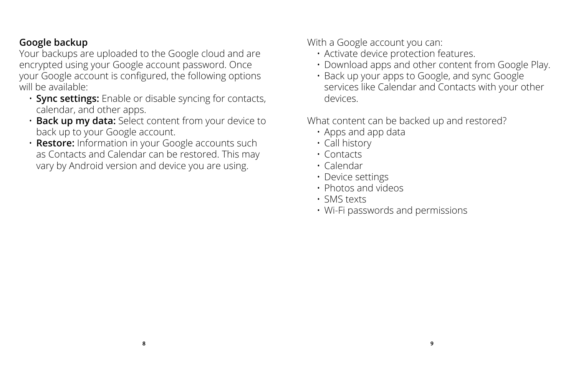### **Google backup**

Your backups are uploaded to the Google cloud and are encrypted using your Google account password. Once your Google account is configured, the following options will be available:

- **Sync settings:** Enable or disable syncing for contacts, calendar, and other apps.
- **Back up my data:** Select content from your device to back up to your Google account.
- • **Restore:** Information in your Google accounts such as Contacts and Calendar can be restored. This may vary by Android version and device you are using.

With a Google account you can:

- Activate device protection features.
- Download apps and other content from Google Play.
- Back up your apps to Google, and sync Google services like Calendar and Contacts with your other devices.

What content can be backed up and restored?

- Apps and app data
- Call history
- Contacts
- Calendar
- Device settings
- Photos and videos
- SMS texts
- Wi-Fi passwords and permissions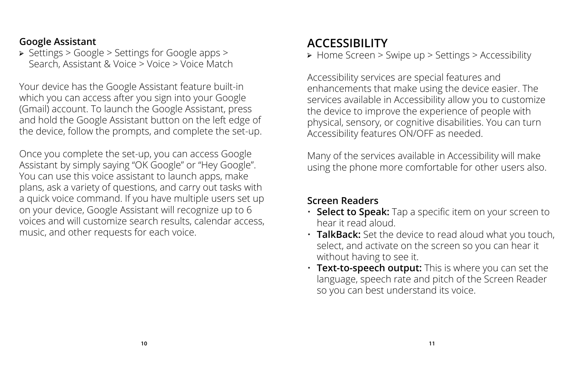### **Google Assistant**

← Settings > Google > Settings for Google apps > Search, Assistant & Voice > Voice > Voice Match

Your device has the Google Assistant feature built-in which you can access after you sign into your Google (Gmail) account. To launch the Google Assistant, press and hold the Google Assistant button on the left edge of the device, follow the prompts, and complete the set-up.

Once you complete the set-up, you can access Google Assistant by simply saying "OK Google" or "Hey Google". You can use this voice assistant to launch apps, make plans, ask a variety of questions, and carry out tasks with a quick voice command. If you have multiple users set up on your device, Google Assistant will recognize up to 6 voices and will customize search results, calendar access, music, and other requests for each voice.

## **ACCESSIBILITY**

← Home Screen > Swipe up > Settings > Accessibility

Accessibility services are special features and enhancements that make using the device easier. The services available in Accessibility allow you to customize the device to improve the experience of people with physical, sensory, or cognitive disabilities. You can turn Accessibility features ON/OFF as needed.

Many of the services available in Accessibility will make using the phone more comfortable for other users also.

### **Screen Readers**

- **Select to Speak:** Tap a specific item on your screen to hear it read aloud.
- **TalkBack:** Set the device to read aloud what you touch, select, and activate on the screen so you can hear it without having to see it.
- **Text-to-speech output:** This is where you can set the language, speech rate and pitch of the Screen Reader so you can best understand its voice.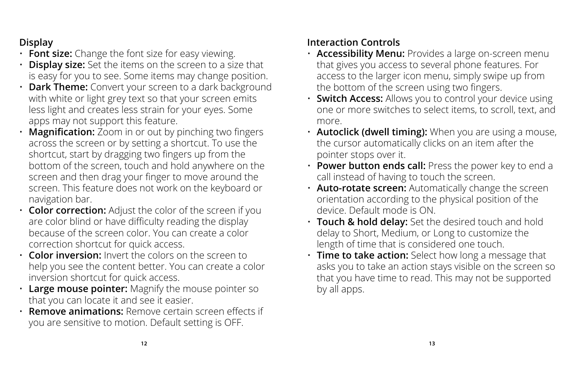### **Display**

- **Font size:** Change the font size for easy viewing.
- **Display size:** Set the items on the screen to a size that is easy for you to see. Some items may change position.
- **Dark Theme:** Convert your screen to a dark background with white or light grey text so that your screen emits less light and creates less strain for your eyes. Some apps may not support this feature.
- **Magnification:** Zoom in or out by pinching two fingers across the screen or by setting a shortcut. To use the shortcut, start by dragging two fingers up from the bottom of the screen, touch and hold anywhere on the screen and then drag your finger to move around the screen. This feature does not work on the keyboard or navigation bar.
- **Color correction:** Adjust the color of the screen if you are color blind or have difficulty reading the display because of the screen color. You can create a color correction shortcut for quick access.
- **Color inversion:** Invert the colors on the screen to help you see the content better. You can create a color inversion shortcut for quick access.
- **Large mouse pointer:** Magnify the mouse pointer so that you can locate it and see it easier.
- **Remove animations:** Remove certain screen effects if you are sensitive to motion. Default setting is OFF.

### **Interaction Controls**

- **Accessibility Menu:** Provides a large on-screen menu that gives you access to several phone features. For access to the larger icon menu, simply swipe up from the bottom of the screen using two fingers.
- **Switch Access:** Allows you to control your device using one or more switches to select items, to scroll, text, and more.
- **Autoclick (dwell timing):** When you are using a mouse, the cursor automatically clicks on an item after the pointer stops over it.
- **Power button ends call:** Press the power key to end a call instead of having to touch the screen.
- **Auto-rotate screen:** Automatically change the screen orientation according to the physical position of the device. Default mode is ON.
- **Touch & hold delay:** Set the desired touch and hold delay to Short, Medium, or Long to customize the length of time that is considered one touch.
- **Time to take action:** Select how long a message that asks you to take an action stays visible on the screen so that you have time to read. This may not be supported by all apps.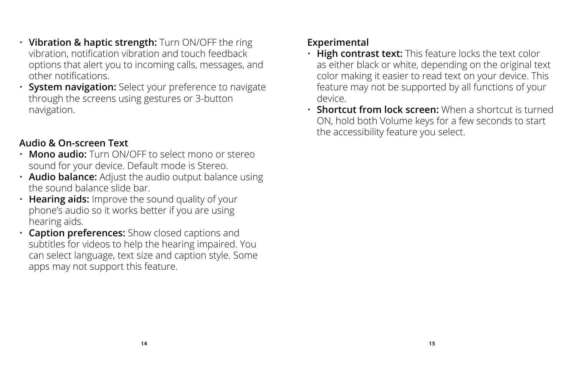- **Vibration & haptic strength:** Turn ON/OFF the ring vibration, notification vibration and touch feedback options that alert you to incoming calls, messages, and other notifications.
- **System navigation:** Select your preference to navigate through the screens using gestures or 3-button navigation.

### **Audio & On-screen Text**

- **Mono audio:** Turn ON/OFF to select mono or stereo sound for your device. Default mode is Stereo.
- **Audio balance:** Adjust the audio output balance using the sound balance slide bar.
- **Hearing aids:** Improve the sound quality of your phone's audio so it works better if you are using hearing aids.
- **Caption preferences:** Show closed captions and subtitles for videos to help the hearing impaired. You can select language, text size and caption style. Some apps may not support this feature.

### **Experimental**

- **High contrast text:** This feature locks the text color as either black or white, depending on the original text color making it easier to read text on your device. This feature may not be supported by all functions of your device.
- **Shortcut from lock screen:** When a shortcut is turned ON, hold both Volume keys for a few seconds to start the accessibility feature you select.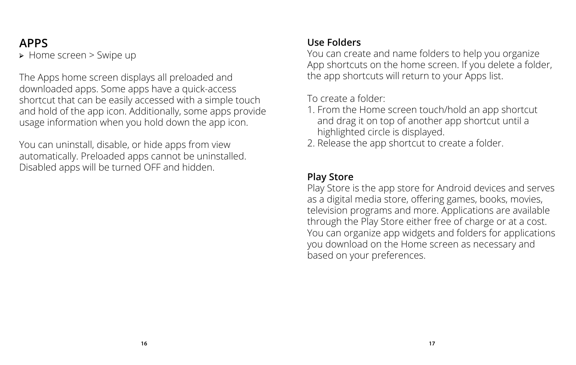## **APPS**

← Home screen > Swipe up

The Apps home screen displays all preloaded and downloaded apps. Some apps have a quick-access shortcut that can be easily accessed with a simple touch and hold of the app icon. Additionally, some apps provide usage information when you hold down the app icon.

You can uninstall, disable, or hide apps from view automatically. Preloaded apps cannot be uninstalled. Disabled apps will be turned OFF and hidden.

### **Use Folders**

You can create and name folders to help you organize App shortcuts on the home screen. If you delete a folder, the app shortcuts will return to your Apps list.

To create a folder:

- 1. From the Home screen touch/hold an app shortcut and drag it on top of another app shortcut until a highlighted circle is displayed.
- 2. Release the app shortcut to create a folder.

### **Play Store**

Play Store is the app store for Android devices and serves as a digital media store, offering games, books, movies, television programs and more. Applications are available through the Play Store either free of charge or at a cost. You can organize app widgets and folders for applications you download on the Home screen as necessary and based on your preferences.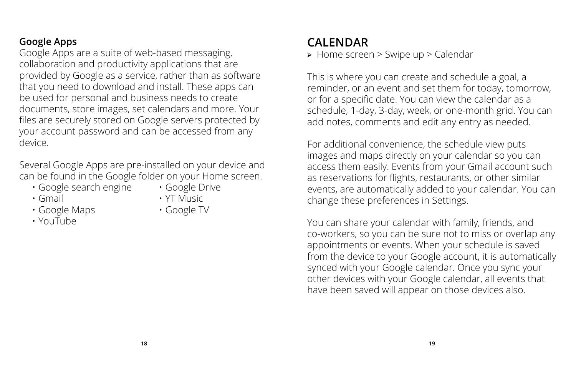### **Google Apps**

Google Apps are a suite of web-based messaging, collaboration and productivity applications that are provided by Google as a service, rather than as software that you need to download and install. These apps can be used for personal and business needs to create documents, store images, set calendars and more. Your files are securely stored on Google servers protected by your account password and can be accessed from any device.

Several Google Apps are pre-installed on your device and can be found in the Google folder on your Home screen.

- Google search engine Google Drive
	-
- 
- Gmail YT Music
- Google Maps Google TV • YouTube
- 

**CALENDAR**

← Home screen > Swipe up > Calendar

This is where you can create and schedule a goal, a reminder, or an event and set them for today, tomorrow, or for a specific date. You can view the calendar as a schedule, 1-day, 3-day, week, or one-month grid. You can add notes, comments and edit any entry as needed.

For additional convenience, the schedule view puts images and maps directly on your calendar so you can access them easily. Events from your Gmail account such as reservations for flights, restaurants, or other similar events, are automatically added to your calendar. You can change these preferences in Settings.

You can share your calendar with family, friends, and co-workers, so you can be sure not to miss or overlap any appointments or events. When your schedule is saved from the device to your Google account, it is automatically synced with your Google calendar. Once you sync your other devices with your Google calendar, all events that have been saved will appear on those devices also.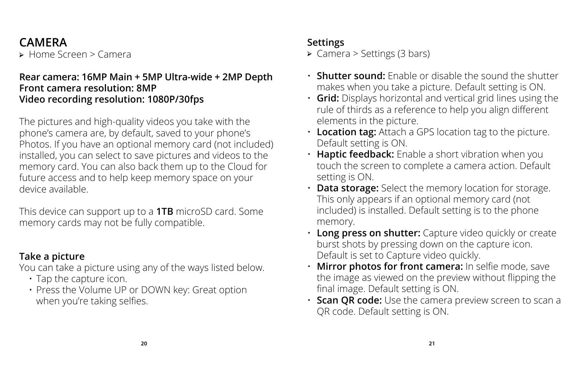## **CAMERA**

← Home Screen > Camera

### **Rear camera: 16MP Main + 5MP Ultra-wide + 2MP Depth Front camera resolution: 8MP Video recording resolution: 1080P/30fps**

The pictures and high-quality videos you take with the phone's camera are, by default, saved to your phone's Photos. If you have an optional memory card (not included) installed, you can select to save pictures and videos to the memory card. You can also back them up to the Cloud for future access and to help keep memory space on your device available.

This device can support up to a **1TB** microSD card. Some memory cards may not be fully compatible.

### **Take a picture**

You can take a picture using any of the ways listed below.

- Tap the capture icon.
- Press the Volume UP or DOWN key: Great option when you're taking selfies.

### **Settings**

← Camera > Settings (3 bars)

- **Shutter sound:** Enable or disable the sound the shutter makes when you take a picture. Default setting is ON.
- **Grid:** Displays horizontal and vertical grid lines using the rule of thirds as a reference to help you align different elements in the picture.
- **Location tag:** Attach a GPS location tag to the picture. Default setting is ON.
- **Haptic feedback:** Enable a short vibration when you touch the screen to complete a camera action. Default setting is ON.
- **Data storage:** Select the memory location for storage. This only appears if an optional memory card (not included) is installed. Default setting is to the phone memory.
- **Long press on shutter:** Capture video quickly or create burst shots by pressing down on the capture icon. Default is set to Capture video quickly.
- **Mirror photos for front camera:** In selfie mode, save the image as viewed on the preview without flipping the final image. Default setting is ON.
- **Scan QR code:** Use the camera preview screen to scan a QR code. Default setting is ON.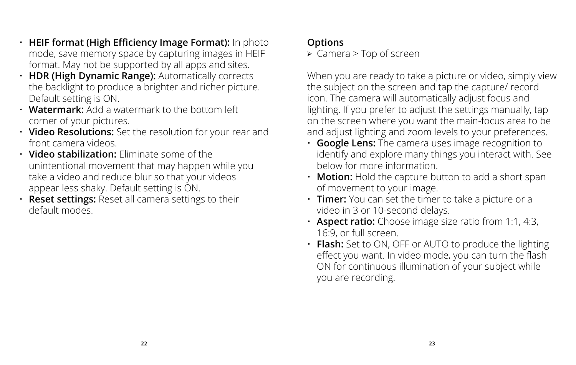- **HEIF format (High Efficiency Image Format):** In photo mode, save memory space by capturing images in HEIF format. May not be supported by all apps and sites.
- **HDR (High Dynamic Range):** Automatically corrects the backlight to produce a brighter and richer picture. Default setting is ON.
- **Watermark:** Add a watermark to the bottom left corner of your pictures.
- **Video Resolutions:** Set the resolution for your rear and front camera videos.
- **Video stabilization:** Eliminate some of the unintentional movement that may happen while you take a video and reduce blur so that your videos appear less shaky. Default setting is ON.
- **Reset settings:** Reset all camera settings to their default modes.

### **Options**

← Camera > Top of screen

When you are ready to take a picture or video, simply view the subject on the screen and tap the capture/ record icon. The camera will automatically adjust focus and lighting. If you prefer to adjust the settings manually, tap on the screen where you want the main-focus area to be and adjust lighting and zoom levels to your preferences.

- **Google Lens:** The camera uses image recognition to identify and explore many things you interact with. See below for more information.
- **Motion:** Hold the capture button to add a short span of movement to your image.
- **Timer:** You can set the timer to take a picture or a video in 3 or 10-second delays.
- **Aspect ratio:** Choose image size ratio from 1:1, 4:3, 16:9, or full screen.
- **Flash:** Set to ON, OFF or AUTO to produce the lighting effect you want. In video mode, you can turn the flash ON for continuous illumination of your subject while you are recording.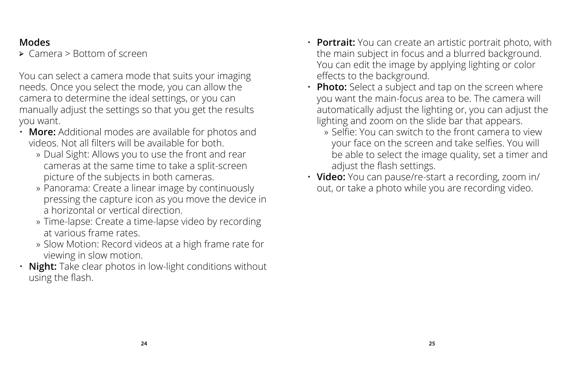### **Modes**

← Camera > Bottom of screen

You can select a camera mode that suits your imaging needs. Once you select the mode, you can allow the camera to determine the ideal settings, or you can manually adjust the settings so that you get the results you want.

- **More:** Additional modes are available for photos and videos. Not all filters will be available for both.
	- » Dual Sight: Allows you to use the front and rear cameras at the same time to take a split-screen picture of the subjects in both cameras.
	- » Panorama: Create a linear image by continuously pressing the capture icon as you move the device in a horizontal or vertical direction.
	- » Time-lapse: Create a time-lapse video by recording at various frame rates.
	- » Slow Motion: Record videos at a high frame rate for viewing in slow motion.
- **Night:** Take clear photos in low-light conditions without using the flash.
- **Portrait:** You can create an artistic portrait photo, with the main subject in focus and a blurred background. You can edit the image by applying lighting or color effects to the background.
- **Photo:** Select a subject and tap on the screen where you want the main-focus area to be. The camera will automatically adjust the lighting or, you can adjust the lighting and zoom on the slide bar that appears.
	- » Selfie: You can switch to the front camera to view your face on the screen and take selfies. You will be able to select the image quality, set a timer and adjust the flash settings.
- **Video:** You can pause/re-start a recording, zoom in/ out, or take a photo while you are recording video.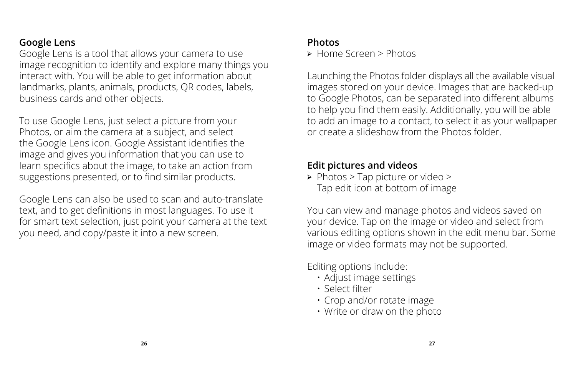### **Google Lens**

Google Lens is a tool that allows your camera to use image recognition to identify and explore many things you interact with. You will be able to get information about landmarks, plants, animals, products, QR codes, labels, business cards and other objects.

To use Google Lens, just select a picture from your Photos, or aim the camera at a subject, and select the Google Lens icon. Google Assistant identifies the image and gives you information that you can use to learn specifics about the image, to take an action from suggestions presented, or to find similar products.

Google Lens can also be used to scan and auto-translate text, and to get definitions in most languages. To use it for smart text selection, just point your camera at the text you need, and copy/paste it into a new screen.

#### **Photos**

← Home Screen > Photos

Launching the Photos folder displays all the available visual images stored on your device. Images that are backed-up to Google Photos, can be separated into different albums to help you find them easily. Additionally, you will be able to add an image to a contact, to select it as your wallpaper or create a slideshow from the Photos folder.

### **Edit pictures and videos**

← Photos > Tap picture or video > Tap edit icon at bottom of image

You can view and manage photos and videos saved on your device. Tap on the image or video and select from various editing options shown in the edit menu bar. Some image or video formats may not be supported.

Editing options include:

- Adjust image settings
- • Select filter
- Crop and/or rotate image
- Write or draw on the photo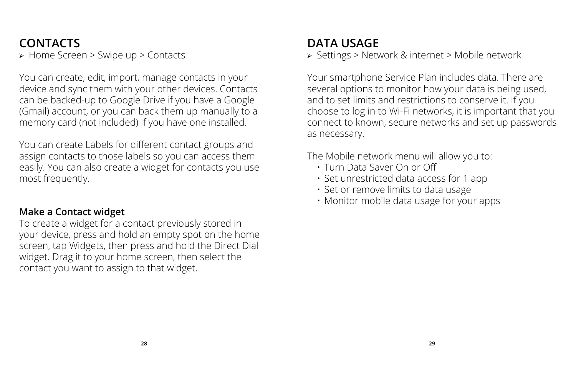## **CONTACTS**

← Home Screen > Swipe up > Contacts

You can create, edit, import, manage contacts in your device and sync them with your other devices. Contacts can be backed-up to Google Drive if you have a Google (Gmail) account, or you can back them up manually to a memory card (not included) if you have one installed.

You can create Labels for different contact groups and assign contacts to those labels so you can access them easily. You can also create a widget for contacts you use most frequently.

### **Make a Contact widget**

To create a widget for a contact previously stored in your device, press and hold an empty spot on the home screen, tap Widgets, then press and hold the Direct Dial widget. Drag it to your home screen, then select the contact you want to assign to that widget.

## **DATA USAGE**

← Settings > Network & internet > Mobile network

Your smartphone Service Plan includes data. There are several options to monitor how your data is being used, and to set limits and restrictions to conserve it. If you choose to log in to Wi-Fi networks, it is important that you connect to known, secure networks and set up passwords as necessary.

The Mobile network menu will allow you to:

- Turn Data Saver On or Off
- Set unrestricted data access for 1 app
- Set or remove limits to data usage
- Monitor mobile data usage for your apps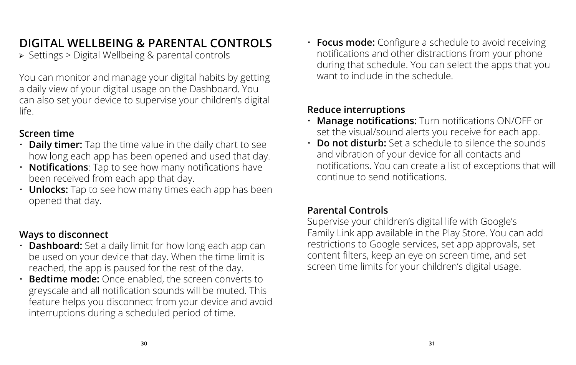## **DIGITAL WELLBEING & PARENTAL CONTROLS**

← Settings > Digital Wellbeing & parental controls

You can monitor and manage your digital habits by getting a daily view of your digital usage on the Dashboard. You can also set your device to supervise your children's digital life.

### **Screen time**

- **Daily timer:** Tap the time value in the daily chart to see how long each app has been opened and used that day.
- **Notifications**: Tap to see how many notifications have been received from each app that day.
- **Unlocks:** Tap to see how many times each app has been opened that day.

### **Ways to disconnect**

- **Dashboard:** Set a daily limit for how long each app can be used on your device that day. When the time limit is reached, the app is paused for the rest of the day.
- **Bedtime mode:** Once enabled, the screen converts to greyscale and all notification sounds will be muted. This feature helps you disconnect from your device and avoid interruptions during a scheduled period of time.

• **Focus mode:** Configure a schedule to avoid receiving notifications and other distractions from your phone during that schedule. You can select the apps that you want to include in the schedule.

### **Reduce interruptions**

- **Manage notifications:** Turn notifications ON/OFF or set the visual/sound alerts you receive for each app.
- **Do not disturb:** Set a schedule to silence the sounds and vibration of your device for all contacts and notifications. You can create a list of exceptions that will continue to send notifications.

### **Parental Controls**

Supervise your children's digital life with Google's Family Link app available in the Play Store. You can add restrictions to Google services, set app approvals, set content filters, keep an eye on screen time, and set screen time limits for your children's digital usage.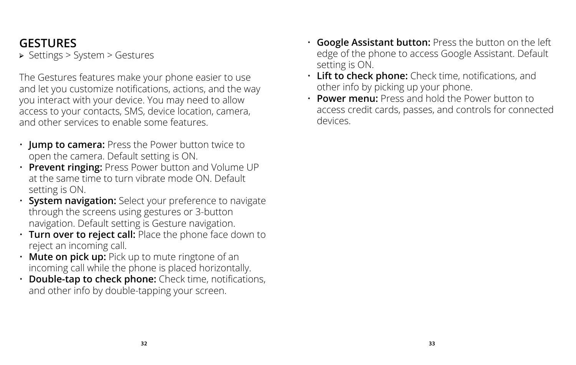## **GESTURES**

← Settings > System > Gestures

The Gestures features make your phone easier to use and let you customize notifications, actions, and the way you interact with your device. You may need to allow access to your contacts, SMS, device location, camera, and other services to enable some features.

- **Jump to camera:** Press the Power button twice to open the camera. Default setting is ON.
- **Prevent ringing:** Press Power button and Volume UP at the same time to turn vibrate mode ON. Default setting is ON.
- **System navigation:** Select your preference to navigate through the screens using gestures or 3-button navigation. Default setting is Gesture navigation.
- **Turn over to reject call:** Place the phone face down to reject an incoming call.
- **Mute on pick up:** Pick up to mute ringtone of an incoming call while the phone is placed horizontally.
- **Double-tap to check phone:** Check time, notifications, and other info by double-tapping your screen.
- **Google Assistant button:** Press the button on the left edge of the phone to access Google Assistant. Default setting is ON.
- **Lift to check phone:** Check time, notifications, and other info by picking up your phone.
- **Power menu:** Press and hold the Power button to access credit cards, passes, and controls for connected devices.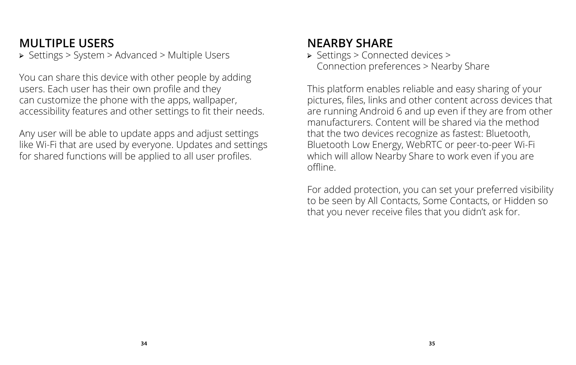## **MULTIPLE USERS**

← Settings > System > Advanced > Multiple Users

You can share this device with other people by adding users. Each user has their own profile and they can customize the phone with the apps, wallpaper, accessibility features and other settings to fit their needs.

Any user will be able to update apps and adjust settings like Wi-Fi that are used by everyone. Updates and settings for shared functions will be applied to all user profiles.

## **NEARBY SHARE**

← Settings > Connected devices > Connection preferences > Nearby Share

This platform enables reliable and easy sharing of your pictures, files, links and other content across devices that are running Android 6 and up even if they are from other manufacturers. Content will be shared via the method that the two devices recognize as fastest: Bluetooth, Bluetooth Low Energy, WebRTC or peer-to-peer Wi-Fi which will allow Nearby Share to work even if you are offline.

For added protection, you can set your preferred visibility to be seen by All Contacts, Some Contacts, or Hidden so that you never receive files that you didn't ask for.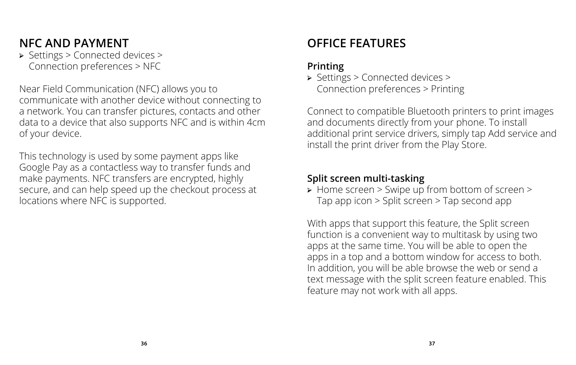## **NFC AND PAYMENT**

← Settings > Connected devices > Connection preferences > NFC

Near Field Communication (NFC) allows you to communicate with another device without connecting to a network. You can transfer pictures, contacts and other data to a device that also supports NFC and is within 4cm of your device.

This technology is used by some payment apps like Google Pay as a contactless way to transfer funds and make payments. NFC transfers are encrypted, highly secure, and can help speed up the checkout process at locations where NFC is supported.

## **OFFICE FEATURES**

### **Printing**

← Settings > Connected devices > Connection preferences > Printing

Connect to compatible Bluetooth printers to print images and documents directly from your phone. To install additional print service drivers, simply tap Add service and install the print driver from the Play Store.

### **Split screen multi-tasking**

← Home screen > Swipe up from bottom of screen > Tap app icon > Split screen > Tap second app

With apps that support this feature, the Split screen function is a convenient way to multitask by using two apps at the same time. You will be able to open the apps in a top and a bottom window for access to both. In addition, you will be able browse the web or send a text message with the split screen feature enabled. This feature may not work with all apps.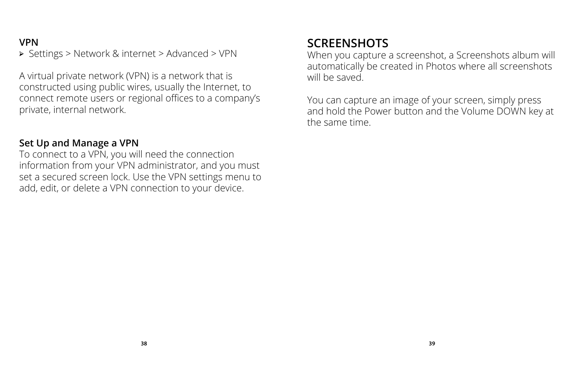### **VPN**

← Settings > Network & internet > Advanced > VPN

A virtual private network (VPN) is a network that is constructed using public wires, usually the Internet, to connect remote users or regional offices to a company's private, internal network.

#### **Set Up and Manage a VPN**

To connect to a VPN, you will need the connection information from your VPN administrator, and you must set a secured screen lock. Use the VPN settings menu to add, edit, or delete a VPN connection to your device.

## **SCREENSHOTS**

When you capture a screenshot, a Screenshots album will automatically be created in Photos where all screenshots will be saved.

You can capture an image of your screen, simply press and hold the Power button and the Volume DOWN key at the same time.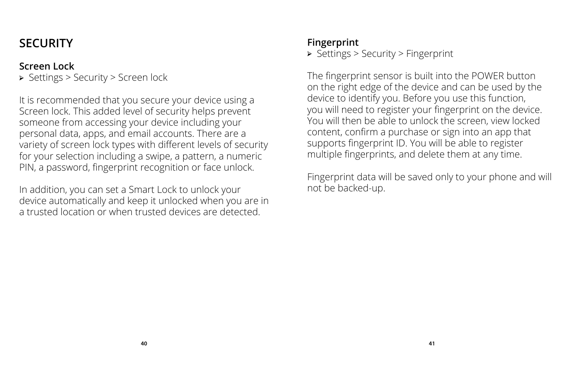## **SECURITY**

### **Screen Lock**

← Settings > Security > Screen lock

It is recommended that you secure your device using a Screen lock. This added level of security helps prevent someone from accessing your device including your personal data, apps, and email accounts. There are a variety of screen lock types with different levels of security for your selection including a swipe, a pattern, a numeric PIN, a password, fingerprint recognition or face unlock.

In addition, you can set a Smart Lock to unlock your device automatically and keep it unlocked when you are in a trusted location or when trusted devices are detected.

### **Fingerprint**

← Settings > Security > Fingerprint

The fingerprint sensor is built into the POWER button on the right edge of the device and can be used by the device to identify you. Before you use this function, you will need to register your fingerprint on the device. You will then be able to unlock the screen, view locked content, confirm a purchase or sign into an app that supports fingerprint ID. You will be able to register multiple fingerprints, and delete them at any time.

Fingerprint data will be saved only to your phone and will not be backed-up.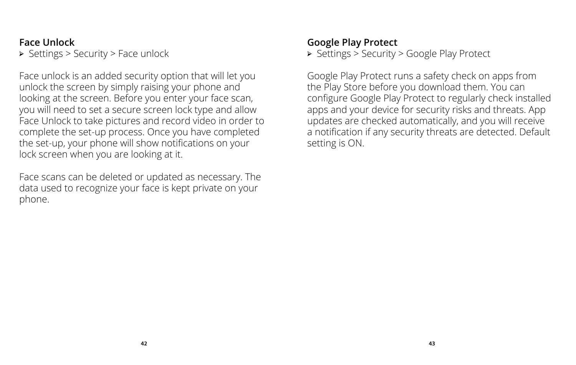### **Face Unlock**

← Settings > Security > Face unlock

Face unlock is an added security option that will let you unlock the screen by simply raising your phone and looking at the screen. Before you enter your face scan, you will need to set a secure screen lock type and allow Face Unlock to take pictures and record video in order to complete the set-up process. Once you have completed the set-up, your phone will show notifications on your lock screen when you are looking at it.

Face scans can be deleted or updated as necessary. The data used to recognize your face is kept private on your phone.

### **Google Play Protect**

← Settings > Security > Google Play Protect

Google Play Protect runs a safety check on apps from the Play Store before you download them. You can configure Google Play Protect to regularly check installed apps and your device for security risks and threats. App updates are checked automatically, and you will receive a notification if any security threats are detected. Default setting is ON.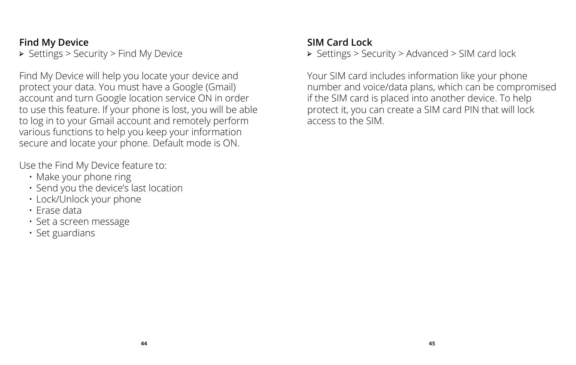### **Find My Device**

← Settings > Security > Find My Device

Find My Device will help you locate your device and protect your data. You must have a Google (Gmail) account and turn Google location service ON in order to use this feature. If your phone is lost, you will be able to log in to your Gmail account and remotely perform various functions to help you keep your information secure and locate your phone. Default mode is ON.

Use the Find My Device feature to:

- Make your phone ring
- Send you the device's last location
- Lock/Unlock your phone
- Erase data
- Set a screen message
- Set guardians

### **SIM Card Lock**

← Settings > Security > Advanced > SIM card lock

Your SIM card includes information like your phone number and voice/data plans, which can be compromised if the SIM card is placed into another device. To help protect it, you can create a SIM card PIN that will lock access to the SIM.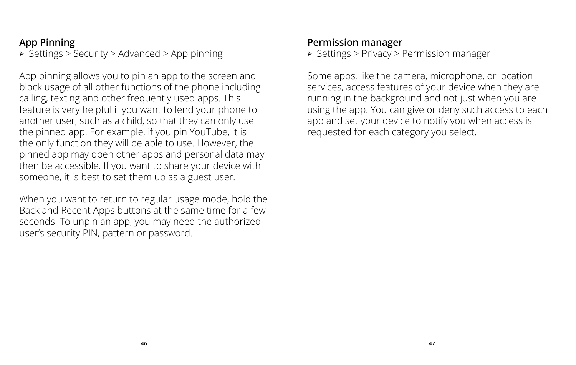### **App Pinning**

← Settings > Security > Advanced > App pinning

App pinning allows you to pin an app to the screen and block usage of all other functions of the phone including calling, texting and other frequently used apps. This feature is very helpful if you want to lend your phone to another user, such as a child, so that they can only use the pinned app. For example, if you pin YouTube, it is the only function they will be able to use. However, the pinned app may open other apps and personal data may then be accessible. If you want to share your device with someone, it is best to set them up as a guest user.

When you want to return to regular usage mode, hold the Back and Recent Apps buttons at the same time for a few seconds. To unpin an app, you may need the authorized user's security PIN, pattern or password.

#### **Permission manager**

← Settings > Privacy > Permission manager

Some apps, like the camera, microphone, or location services, access features of your device when they are running in the background and not just when you are using the app. You can give or deny such access to each app and set your device to notify you when access is requested for each category you select.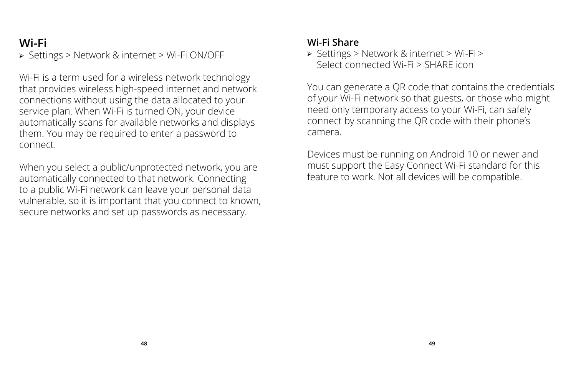## **Wi-Fi**

← Settings > Network & internet > Wi-Fi ON/OFF

Wi-Fi is a term used for a wireless network technology that provides wireless high-speed internet and network connections without using the data allocated to your service plan. When Wi-Fi is turned ON, your device automatically scans for available networks and displays them. You may be required to enter a password to connect.

When you select a public/unprotected network, you are automatically connected to that network. Connecting to a public Wi-Fi network can leave your personal data vulnerable, so it is important that you connect to known, secure networks and set up passwords as necessary.

#### **Wi-Fi Share**

← Settings > Network & internet > Wi-Fi > Select connected Wi-Fi > SHARE icon

You can generate a QR code that contains the credentials of your Wi-Fi network so that guests, or those who might need only temporary access to your Wi-Fi, can safely connect by scanning the QR code with their phone's camera.

Devices must be running on Android 10 or newer and must support the Easy Connect Wi-Fi standard for this feature to work. Not all devices will be compatible.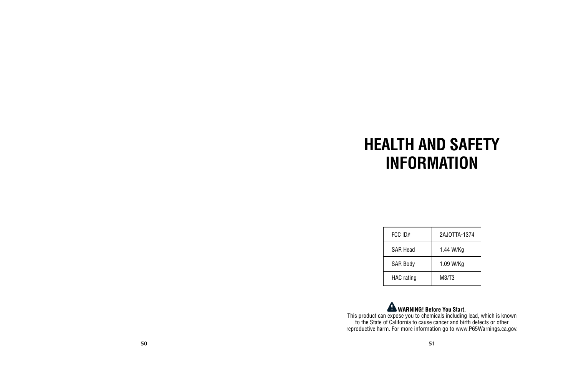## **HEALTH AND SAFETY INFORMATION**

| $FCC$ ID#       | 2AJ0TTA-1374 |
|-----------------|--------------|
| <b>SAR Head</b> | 1.44 W/Ka    |
| <b>SAR Body</b> | 1.09 W/Kg    |
| HAC rating      | M3/T3        |

**WARNING! Before You Start.**<br>This product can expose you to chemicals including lead, which is known<br>to the State of California to cause cancer and birth defects or other reproductive harm. For more information go to www.P65Warnings.ca.gov.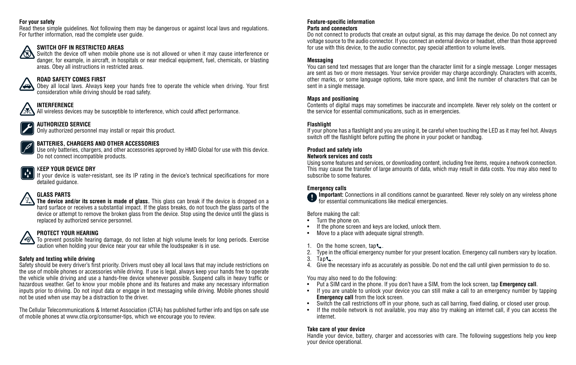#### **For your safety**

Read these simple guidelines. Not following them may be dangerous or against local laws and regulations. For further information, read the complete user guide.

#### **SWITCH OFF IN RESTRICTED AREAS**

M Switch the device off when mobile phone use is not allowed or when it may cause interference or danger, for example, in aircraft, in hospitals or near medical equipment, fuel, chemicals, or blasting areas. Obey all instructions in restricted areas.

#### **ROAD SAFETY COMES FIRST**

Obey all local laws. Always keep your hands free to operate the vehicle when driving. Your first consideration while driving should be road safety.

#### **INTERFERENCE**

All wireless devices may be susceptible to interference, which could affect performance.

#### **AUTHORIZED SERVICE**

Only authorized personnel may install or repair this product.

#### **BATTERIES, CHARGERS AND OTHER ACCESSORIES**

Use only batteries, chargers, and other accessories approved by HMD Global for use with this device. Do not connect incompatible products.

#### K**EEP YOUR DEVICE DRY**

If your device is water-resistant, see its IP rating in the device's technical specifications for more detailed guidance.

#### **GLASS PARTS**

⁄.ஒ\

**The device and/or its screen is made of glass.** This glass can break if the device is dropped on a hard surface or receives a substantial impact. If the glass breaks, do not touch the glass parts of the device or attempt to remove the broken glass from the device. Stop using the device until the glass is replaced by authorized service personnel.

#### **PROTECT YOUR HEARING**

To prevent possible hearing damage, do not listen at high volume levels for long periods. Exercise caution when holding your device near your ear while the loudspeaker is in use.

#### **Safety and texting while driving**

Safety should be every driver's first priority. Drivers must obey all local laws that may include restrictions on the use of mobile phones or accessories while driving. If use is legal, always keep your hands free to operate the vehicle while driving and use a hands-free device whenever possible. Suspend calls in heavy traffic or hazardous weather. Get to know your mobile phone and its features and make any necessary information inputs prior to driving. Do not input data or engage in text messaging while driving. Mobile phones should not be used when use may be a distraction to the driver.

The Cellular Telecommunications & Internet Association (CTIA) has published further info and tips on safe use of mobile phones at www.ctia.org/consumer-tips, which we encourage you to review.

### **Feature-specific information**

#### **Parts and connectors**

Do not connect to products that create an output signal, as this may damage the device. Do not connect any voltage source to the audio connector. If you connect an external device or headset, other than those approved for use with this device, to the audio connector, pay special attention to volume levels.

#### **Messaging**

You can send text messages that are longer than the character limit for a single message. Longer messages are sent as two or more messages. Your service provider may charge accordingly. Characters with accents, other marks, or some language options, take more space, and limit the number of characters that can be sent in a single message.

#### **Maps and positioning**

Contents of digital maps may sometimes be inaccurate and incomplete. Never rely solely on the content or the service for essential communications, such as in emergencies.

#### **Flashlight**

If your phone has a flashlight and you are using it, be careful when touching the LED as it may feel hot. Always switch off the flashlight before putting the phone in your pocket or handbag.

#### **Product and safety info**

#### **Network services and costs**

Using some features and services, or downloading content, including free items, require a network connection. This may cause the transfer of large amounts of data, which may result in data costs. You may also need to subscribe to some features.

**Emergency calls Important:** Connections in all conditions cannot be guaranteed. Never rely solely on any wireless phone for essential communications like medical emergencies.

Before making the call:

- Turn the phone on.<br>• If the phone screen
- If the phone screen and keys are locked, unlock them.
- Move to a place with adequate signal strength.
- 1. On the home screen, tap ...
- 2. Type in the official emergency number for your present location. Emergency call numbers vary by location.
- $3.$  Tap  $\epsilon$ .
- 4. Give the necessary info as accurately as possible. Do not end the call until given permission to do so.

You may also need to do the following:

- Put a SIM card in the phone. If you don't have a SIM, from the lock screen, tap **Emergency call**.
- If you are unable to unlock your device you can still make a call to an emergency number by tapping **Emergency call** from the lock screen.
- Switch the call restrictions off in your phone, such as call barring, fixed dialing, or closed user group.
- If the mobile network is not available, you may also try making an internet call, if you can access the internet.

#### **Take care of your device**

Handle your device, battery, charger and accessories with care. The following suggestions help you keep your device operational.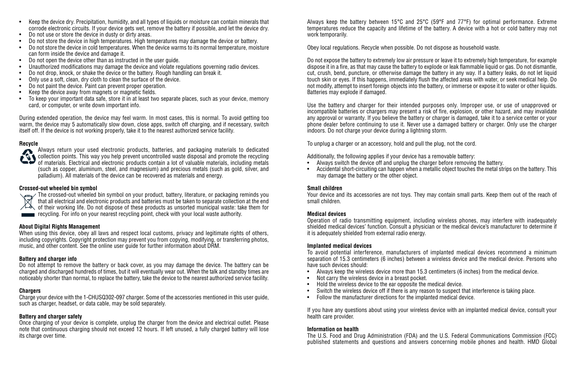- Keep the device dry. Precipitation, humidity, and all types of liquids or moisture can contain minerals that corrode electronic circuits. If your device gets wet, remove the battery if possible, and let the device dry.
- Do not use or store the device in dusty or dirty areas.
- Do not store the device in high temperatures. High temperatures may damage the device or battery.
- Do not store the device in cold temperatures. When the device warms to its normal temperature, moisture can form inside the device and damage it.
- Do not open the device other than as instructed in the user guide.
- Unauthorized modifications may damage the device and violate regulations governing radio devices.
- Do not drop, knock, or shake the device or the battery. Rough handling can break it.
- Only use a soft, clean, dry cloth to clean the surface of the device.
- Do not paint the device. Paint can prevent proper operation.
- Keep the device away from magnets or magnetic fields.
- To keep your important data safe, store it in at least two separate places, such as your device, memory card, or computer, or write down important info.

During extended operation, the device may feel warm. In most cases, this is normal. To avoid getting too warm, the device may 5 automatically slow down, close apps, switch off charging, and if necessary, switch itself off. If the device is not working properly, take it to the nearest authorized service facility.

#### **Recycle**



Always return your used electronic products, batteries, and packaging materials to dedicated collection points. This way you help prevent uncontrolled waste disposal and promote the recycling of materials. Electrical and electronic products contain a lot of valuable materials, including metals (such as copper, aluminum, steel, and magnesium) and precious metals (such as gold, silver, and palladium). All materials of the device can be recovered as materials and energy.

#### **Crossed-out wheeled bin symbol**

The crossed-out wheeled bin symbol on your product, battery, literature, or packaging reminds you  $\mathbb{R}^n$  that all electrical and electronic products and batteries must be taken to separate collection at the end of their working life. Do not dispose of these products as unsorted municipal waste: take them for recycling. For info on your nearest recycling point, check with your local waste authority.

#### **About Digital Rights Management**

When using this device, obey all laws and respect local customs, privacy and legitimate rights of others, including copyrights. Copyright protection may prevent you from copying, modifying, or transferring photos, music, and other content. See the online user guide for further information about DRM.

#### **Battery and charger info**

Do not attempt to remove the battery or back cover, as you may damage the device. The battery can be charged and discharged hundreds of times, but it will eventually wear out. When the talk and standby times are noticeably shorter than normal, to replace the battery, take the device to the nearest authorized service facility.

#### **Chargers**

Charge your device with the 1-CHUSQ302-097 charger. Some of the accessories mentioned in this user guide, such as charger, headset, or data cable, may be sold separately.

#### **Battery and charger safety**

Once charging of your device is complete, unplug the charger from the device and electrical outlet. Please note that continuous charging should not exceed 12 hours. If left unused, a fully charged battery will lose its charge over time.

Always keep the battery between 15°C and 25°C (59°F and 77°F) for optimal performance. Extreme temperatures reduce the capacity and lifetime of the battery. A device with a hot or cold battery may not work temporarily.

Obey local regulations. Recycle when possible. Do not dispose as household waste.

Do not expose the battery to extremely low air pressure or leave it to extremely high temperature, for example dispose it in a fire, as that may cause the battery to explode or leak flammable liquid or gas. Do not dismantle, cut, crush, bend, puncture, or otherwise damage the battery in any way. If a battery leaks, do not let liquid touch skin or eyes. If this happens, immediately flush the affected areas with water, or seek medical help. Do not modify, attempt to insert foreign objects into the battery, or immerse or expose it to water or other liquids. Batteries may explode if damaged.

Use the battery and charger for their intended purposes only. Improper use, or use of unapproved or incompatible batteries or chargers may present a risk of fire, explosion, or other hazard, and may invalidate any approval or warranty. If you believe the battery or charger is damaged, take it to a service center or your phone dealer before continuing to use it. Never use a damaged battery or charger. Only use the charger indoors. Do not charge your device during a lightning storm.

To unplug a charger or an accessory, hold and pull the plug, not the cord.

Additionally, the following applies if your device has a removable battery:

- Always switch the device off and unplug the charger before removing the battery.
- Accidental short-circuiting can happen when a metallic object touches the metal strips on the battery. This may damage the battery or the other object.

#### **Small children**

Your device and its accessories are not toys. They may contain small parts. Keep them out of the reach of small children.

#### **Medical devices**

Operation of radio transmitting equipment, including wireless phones, may interfere with inadequately shielded medical devices' function. Consult a physician or the medical device's manufacturer to determine if it is adequately shielded from external radio energy.

#### **Implanted medical devices**

To avoid potential interference, manufacturers of implanted medical devices recommend a minimum separation of 15.3 centimeters (6 inches) between a wireless device and the medical device. Persons who have such devices should:

- Always keep the wireless device more than 15.3 centimeters (6 inches) from the medical device.
- Not carry the wireless device in a breast pocket.
- Hold the wireless device to the ear opposite the medical device.
- Switch the wireless device off if there is any reason to suspect that interference is taking place.
- Follow the manufacturer directions for the implanted medical device.

If you have any questions about using your wireless device with an implanted medical device, consult your health care provider.

#### **Information on health**

The U.S. Food and Drug Administration (FDA) and the U.S. Federal Communications Commission (FCC) published statements and questions and answers concerning mobile phones and health. HMD Global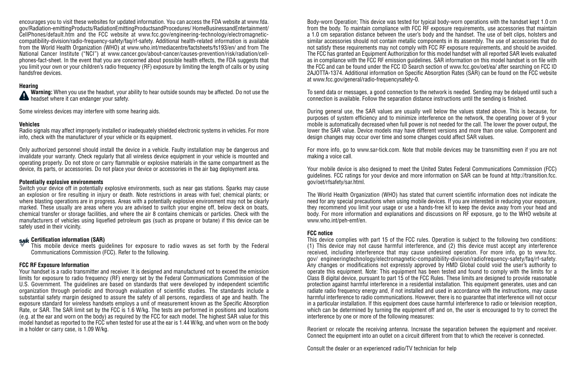encourages you to visit these websites for updated information. You can access the FDA website at www.fda. gov/Radiation-emittingProducts/RadiationEmittingProductsandProcedures/ HomeBusinessandEntertainment/ CellPhones/default.htm and the FCC website at www.fcc.gov/engineering-technology/electromagneticcompatibility-division/radio-frequency-safety/faq/rf-safety. Additional health-related information is available from the World Health Organization (WHO) at www.who.int/mediacentre/factsheets/fs193/en/ and from The National Cancer Institute ("NCI") at www.cancer.gov/about-cancer/causes-prevention/risk/radiation/cellphones-fact-sheet. In the event that you are concerned about possible health effects, the FDA suggests that you limit your own or your children's radio frequency (RF) exposure by limiting the length of calls or by using handsfree devices.

#### **Hearing**

**Warning:** When you use the headset, your ability to hear outside sounds may be affected. Do not use the **All headset where it can endanger your safety.** 

Some wireless devices may interfere with some hearing aids.

#### **Vehicles**

Radio signals may affect improperly installed or inadequately shielded electronic systems in vehicles. For more info, check with the manufacturer of your vehicle or its equipment.

Only authorized personnel should install the device in a vehicle. Faulty installation may be dangerous and invalidate your warranty. Check regularly that all wireless device equipment in your vehicle is mounted and operating properly. Do not store or carry flammable or explosive materials in the same compartment as the device, its parts, or accessories. Do not place your device or accessories in the air bag deployment area.

#### **Potentially explosive environments**

Switch your device off in potentially explosive environments, such as near gas stations. Sparks may cause an explosion or fire resulting in injury or death. Note restrictions in areas with fuel; chemical plants; or where blasting operations are in progress. Areas with a potentially explosive environment may not be clearly marked. These usually are areas where you are advised to switch your engine off, below deck on boats, chemical transfer or storage facilities, and where the air 8 contains chemicals or particles. Check with the manufacturers of vehicles using liquefied petroleum gas (such as propane or butane) if this device can be safely used in their vicinity.

#### **Certification information (SAR)**

This mobile device meets guidelines for exposure to radio waves as set forth by the Federal Communications Commission (FCC). Refer to the following.

#### **FCC RF Exposure Information**

Your handset is a radio transmitter and receiver. It is designed and manufactured not to exceed the emission limits for exposure to radio frequency (RF) energy set by the Federal Communications Commission of the U.S. Government. The guidelines are based on standards that were developed by independent scientific organization through periodic and thorough evaluation of scientific studies. The standards include a substantial safety margin designed to assure the safety of all persons, regardless of age and health. The exposure standard for wireless handsets employs a unit of measurement known as the Specific Absorption Rate, or SAR. The SAR limit set by the FCC is 1.6 W/kg. The tests are performed in positions and locations (e.g. at the ear and worn on the body) as required by the FCC for each model. The highest SAR value for this model handset as reported to the FCC when tested for use at the ear is 1.44 W/kg, and when worn on the body in a holder or carry case, is 1.09 W/kg.

Body-worn Operation; This device was tested for typical body-worn operations with the handset kept 1.0 cm from the body. To maintain compliance with FCC RF exposure requirements, use accessories that maintain a 1.0 cm separation distance between the user's body and the handset. The use of belt clips, holsters and similar accessories should not contain metallic components in its assembly. The use of accessories that do not satisfy these requirements may not comply with FCC RF exposure requirements, and should be avoided. The FCC has granted an Equipment Authorization for this model handset with all reported SAR levels evaluated as in compliance with the FCC RF emission guidelines. SAR information on this model handset is on file with the FCC and can be found under the FCC ID Search section of www.fcc.gov/oet/ea/ after searching on FCC ID 2AJOTTA-1374. Additional information on Specific Absorption Rates (SAR) can be found on the FCC website at www.fcc.gov/general/radio-frequencysafety-0.

To send data or messages, a good connection to the network is needed. Sending may be delayed until such a connection is available. Follow the separation distance instructions until the sending is finished.

During general use, the SAR values are usually well below the values stated above. This is because, for purposes of system efficiency and to minimize interference on the network, the operating power of 9 your mobile is automatically decreased when full power is not needed for the call. The lower the power output, the lower the SAR value. Device models may have different versions and more than one value. Component and design changes may occur over time and some changes could affect SAR values.

For more info, go to www.sar-tick.com. Note that mobile devices may be transmitting even if you are not making a voice call.

Your mobile device is also designed to meet the United States Federal Communications Commission (FCC) guidelines. FCC ratings for your device and more information on SAR can be found at http://transition.fcc. gov/oet/rfsafety/sar.html.

The World Health Organization (WHO) has stated that current scientific information does not indicate the need for any special precautions when using mobile devices. If you are interested in reducing your exposure, they recommend you limit your usage or use a hands-free kit to keep the device away from your head and body. For more information and explanations and discussions on RF exposure, go to the WHO website at www.who.int/peh-emf/en.

#### **FCC notice**

This device complies with part 15 of the FCC rules. Operation is subject to the following two conditions: (1) This device may not cause harmful interference, and (2) this device must accept any interference received, including interference that may cause undesired operation. For more info, go to www.fcc. gov/ engineeringtechnology/electromagnetic-compatibility-division/radiofrequency-safety/faq/rf-safety. Any changes or modifications not expressly approved by HMD Global could void the user's authority to operate this equipment. Note: This equipment has been tested and found to comply with the limits for a Class B digital device, pursuant to part 15 of the FCC Rules. These limits are designed to provide reasonable protection against harmful interference in a residential installation. This equipment generates, uses and can radiate radio frequency energy and, if not installed and used in accordance with the instructions, may cause harmful interference to radio communications. However, there is no guarantee that interference will not occur in a particular installation. If this equipment does cause harmful interference to radio or television reception, which can be determined by turning the equipment off and on, the user is encouraged to try to correct the interference by one or more of the following measures:

Reorient or relocate the receiving antenna. Increase the separation between the equipment and receiver. Connect the equipment into an outlet on a circuit different from that to which the receiver is connected.

Consult the dealer or an experienced radio/TV technician for help